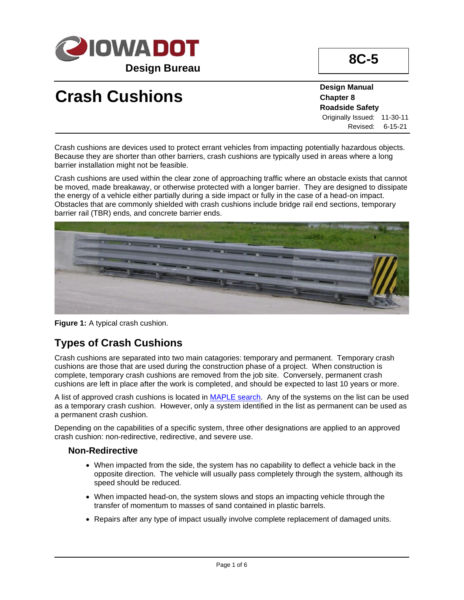

# **Crash Cushions**

**Design Manual Chapter 8 Roadside Safety** Originally Issued: 11-30-11 Revised: 6-15-21

Crash cushions are devices used to protect errant vehicles from impacting potentially hazardous objects. Because they are shorter than other barriers, crash cushions are typically used in areas where a long barrier installation might not be feasible.

Crash cushions are used within the clear zone of approaching traffic where an obstacle exists that cannot be moved, made breakaway, or otherwise protected with a longer barrier. They are designed to dissipate the energy of a vehicle either partially during a side impact or fully in the case of a head-on impact. Obstacles that are commonly shielded with crash cushions include bridge rail end sections, temporary barrier rail (TBR) ends, and concrete barrier ends.



**Figure 1:** A typical crash cushion.

## **Types of Crash Cushions**

Crash cushions are separated into two main catagories: temporary and permanent. Temporary crash cushions are those that are used during the construction phase of a project. When construction is complete, temporary crash cushions are removed from the job site. Conversely, permanent crash cushions are left in place after the work is completed, and should be expected to last 10 years or more.

A list of approved crash cushions is located in [MAPLE search.](https://maple.iowadot.gov/Search.aspx) Any of the systems on the list can be used as a temporary crash cushion. However, only a system identified in the list as permanent can be used as a permanent crash cushion.

Depending on the capabilities of a specific system, three other designations are applied to an approved crash cushion: non-redirective, redirective, and severe use.

#### **Non-Redirective**

- When impacted from the side, the system has no capability to deflect a vehicle back in the opposite direction. The vehicle will usually pass completely through the system, although its speed should be reduced.
- When impacted head-on, the system slows and stops an impacting vehicle through the transfer of momentum to masses of sand contained in plastic barrels.
- Repairs after any type of impact usually involve complete replacement of damaged units.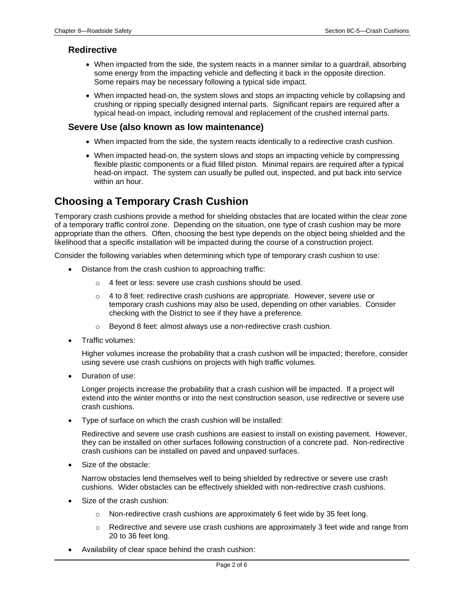#### **Redirective**

- When impacted from the side, the system reacts in a manner similar to a guardrail, absorbing some energy from the impacting vehicle and deflecting it back in the opposite direction. Some repairs may be necessary following a typical side impact.
- When impacted head-on, the system slows and stops an impacting vehicle by collapsing and crushing or ripping specially designed internal parts. Significant repairs are required after a typical head-on impact, including removal and replacement of the crushed internal parts.

#### **Severe Use (also known as low maintenance)**

- When impacted from the side, the system reacts identically to a redirective crash cushion.
- When impacted head-on, the system slows and stops an impacting vehicle by compressing flexible plastic components or a fluid filled piston. Minimal repairs are required after a typical head-on impact. The system can usually be pulled out, inspected, and put back into service within an hour.

## **Choosing a Temporary Crash Cushion**

Temporary crash cushions provide a method for shielding obstacles that are located within the clear zone of a temporary traffic control zone. Depending on the situation, one type of crash cushion may be more appropriate than the others. Often, choosing the best type depends on the object being shielded and the likelihood that a specific installation will be impacted during the course of a construction project.

Consider the following variables when determining which type of temporary crash cushion to use:

- Distance from the crash cushion to approaching traffic:
	- o 4 feet or less: severe use crash cushions should be used.
	- $\circ$  4 to 8 feet: redirective crash cushions are appropriate. However, severe use or temporary crash cushions may also be used, depending on other variables. Consider checking with the District to see if they have a preference.
	- o Beyond 8 feet: almost always use a non-redirective crash cushion.
- Traffic volumes:

Higher volumes increase the probability that a crash cushion will be impacted; therefore, consider using severe use crash cushions on projects with high traffic volumes.

• Duration of use:

Longer projects increase the probability that a crash cushion will be impacted. If a project will extend into the winter months or into the next construction season, use redirective or severe use crash cushions.

• Type of surface on which the crash cushion will be installed:

Redirective and severe use crash cushions are easiest to install on existing pavement. However, they can be installed on other surfaces following construction of a concrete pad. Non-redirective crash cushions can be installed on paved and unpaved surfaces.

Size of the obstacle:

Narrow obstacles lend themselves well to being shielded by redirective or severe use crash cushions. Wider obstacles can be effectively shielded with non-redirective crash cushions.

- Size of the crash cushion:
	- $\circ$  Non-redirective crash cushions are approximately 6 feet wide by 35 feet long.
	- $\circ$  Redirective and severe use crash cushions are approximately 3 feet wide and range from 20 to 36 feet long.
- Availability of clear space behind the crash cushion: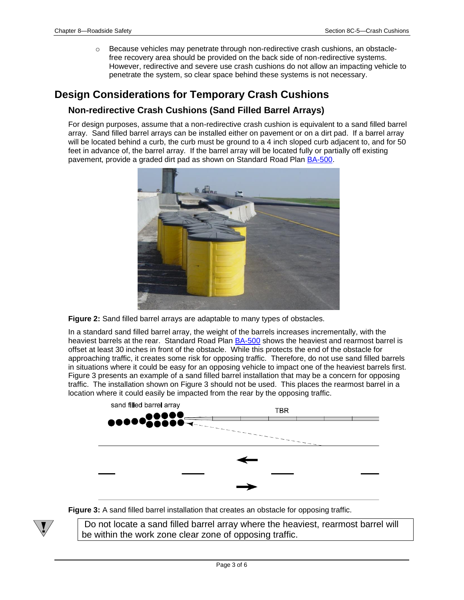o Because vehicles may penetrate through non-redirective crash cushions, an obstaclefree recovery area should be provided on the back side of non-redirective systems. However, redirective and severe use crash cushions do not allow an impacting vehicle to penetrate the system, so clear space behind these systems is not necessary.

## **Design Considerations for Temporary Crash Cushions**

#### **Non-redirective Crash Cushions (Sand Filled Barrel Arrays)**

For design purposes, assume that a non-redirective crash cushion is equivalent to a sand filled barrel array. Sand filled barrel arrays can be installed either on pavement or on a dirt pad. If a barrel array will be located behind a curb, the curb must be ground to a 4 inch sloped curb adjacent to, and for 50 feet in advance of, the barrel array. If the barrel array will be located fully or partially off existing pavement, provide a graded dirt pad as shown on Standard Road Plan [BA-500.](../SRP/IndividualStandards/ba500.pdf)



**Figure 2:** Sand filled barrel arrays are adaptable to many types of obstacles.

In a standard sand filled barrel array, the weight of the barrels increases incrementally, with the heaviest barrels at the rear. Standard Road Plan [BA-500](../SRP/IndividualStandards/ba500.pdf) shows the heaviest and rearmost barrel is offset at least 30 inches in front of the obstacle. While this protects the end of the obstacle for approaching traffic, it creates some risk for opposing traffic. Therefore, do not use sand filled barrels in situations where it could be easy for an opposing vehicle to impact one of the heaviest barrels first. Figure 3 presents an example of a sand filled barrel installation that may be a concern for opposing traffic. The installation shown on Figure 3 should not be used. This places the rearmost barrel in a location where it could easily be impacted from the rear by the opposing traffic.



**Figure 3:** A sand filled barrel installation that creates an obstacle for opposing traffic.

Do not locate a sand filled barrel array where the heaviest, rearmost barrel will be within the work zone clear zone of opposing traffic.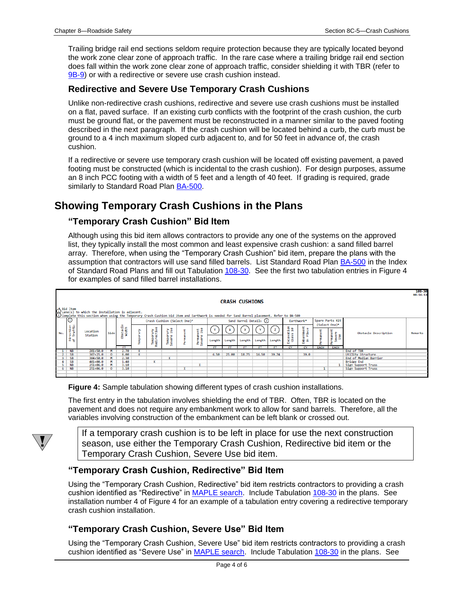Trailing bridge rail end sections seldom require protection because they are typically located beyond the work zone clear zone of approach traffic. In the rare case where a trailing bridge rail end section does fall within the work zone clear zone of approach traffic, consider shielding it with TBR (refer to [9B-9\)](09b-09.pdf) or with a redirective or severe use crash cushion instead.

#### **Redirective and Severe Use Temporary Crash Cushions**

Unlike non-redirective crash cushions, redirective and severe use crash cushions must be installed on a flat, paved surface. If an existing curb conflicts with the footprint of the crash cushion, the curb must be ground flat, or the pavement must be reconstructed in a manner similar to the paved footing described in the next paragraph. If the crash cushion will be located behind a curb, the curb must be ground to a 4 inch maximum sloped curb adjacent to, and for 50 feet in advance of, the crash cushion.

If a redirective or severe use temporary crash cushion will be located off existing pavement, a paved footing must be constructed (which is incidental to the crash cushion). For design purposes, assume an 8 inch PCC footing with a width of 5 feet and a length of 40 feet. If grading is required, grade similarly to Standard Road Plan [BA-500.](../SRP/IndividualStandards/ba500.pdf)

### **Showing Temporary Crash Cushions in the Plans**

#### **"Temporary Crash Cushion" Bid Item**

Although using this bid item allows contractors to provide any one of the systems on the approved list, they typically install the most common and least expensive crash cushion: a sand filled barrel array. Therefore, when using the "Temporary Crash Cushion" bid item, prepare the plans with the assumption that contractors will use sand filled barrels. List Standard Road Plan [BA-500](../SRP/IndividualStandards/ba500.pdf) in the Index of Standard Road Plans and fill out Tabulation [108-30.](../tnt/PDFsandWebFiles/IndividualPDFs/0108-30.PDF) See the first two tabulation entries in Figure 4 for examples of sand filled barrel installations.

|     |                                                                                                                                                                                                               |                          |         |                  |  |                             |                |  |                          |                         |        |                       |        |              |                                  |                                  |      |                           |                                                | 108-30<br>$04 - 16 - 13$ |
|-----|---------------------------------------------------------------------------------------------------------------------------------------------------------------------------------------------------------------|--------------------------|---------|------------------|--|-----------------------------|----------------|--|--------------------------|-------------------------|--------|-----------------------|--------|--------------|----------------------------------|----------------------------------|------|---------------------------|------------------------------------------------|--------------------------|
|     |                                                                                                                                                                                                               |                          |         |                  |  |                             |                |  |                          |                         |        | <b>CRASH CUSHIONS</b> |        |              |                                  |                                  |      |                           |                                                |                          |
|     | .4 Bid Item<br>☆ Dane(s) to which the installation is adjacent.<br>۞ Complete this section when using the Temporary Crash Cushion bid item and Earthwork is needed for Sand Barrel placement. Refer to BA-500 |                          |         |                  |  |                             |                |  |                          |                         |        |                       |        |              |                                  |                                  |      |                           |                                                |                          |
| No. | ۱o                                                                                                                                                                                                            | Location<br>Station      | Side    |                  |  | Crash Cushion (Select One)* |                |  |                          | Sand Barrel Details (2) |        |                       |        | Earthwork*   |                                  | Spare Parts Kit<br>(Select One)* |      |                           |                                                |                          |
|     | rection<br>Traffic                                                                                                                                                                                            |                          |         | bstacle<br>Width |  | 중축<br>¥<br>১                | ξŠ<br>১        |  | g g                      | v                       | W      |                       |        |              | $\frac{4\pi}{3}$<br>$>$ $\omega$ | nkment<br>Place                  |      | Obstacle Description      | Remarks                                        |                          |
|     | ਰੋ ਦ                                                                                                                                                                                                          |                          |         | ъ<br><b>ET</b>   |  | Tempo<br>Redirv             | Tempo<br>Sever |  | æ<br>S.                  | Length                  | Length | Length                | Length | Length<br>ET | . .<br>¥₫<br>٣v                  | 음부<br>٣v                         |      | ermanent<br>Severe<br>Use |                                                |                          |
|     | <b>NB</b>                                                                                                                                                                                                     | 201+50.0                 |         | 2.70             |  |                             |                |  |                          |                         |        |                       |        |              |                                  |                                  | EACH | EACH                      | End of TBR                                     |                          |
|     | <b>SB</b>                                                                                                                                                                                                     | 307+25.0                 | o       | .00.             |  |                             |                |  |                          | 6.50                    | 25.00  | 18.75                 | 16.50  | 39.74        |                                  | 39.0                             |      |                           | <b>Utility Structure</b>                       |                          |
|     | <b>SB</b>                                                                                                                                                                                                     | $304 + 50.0$             | M       | 2.30             |  |                             |                |  |                          |                         |        |                       |        |              |                                  |                                  |      |                           | End of Median Barrier                          |                          |
|     | SB<br><b>NB</b>                                                                                                                                                                                               | 401+00.0<br>$251 + 06.0$ | м<br>M  | 1.40<br>3.10     |  |                             |                |  | $\overline{\phantom{a}}$ |                         |        |                       |        |              |                                  |                                  |      | 1.                        | <b>Bridge End</b><br><b>Sign Support Truss</b> |                          |
|     | <b>NB</b><br>6.                                                                                                                                                                                               | 251+06.0                 | $\circ$ | 3.10             |  |                             |                |  |                          |                         |        |                       |        |              |                                  |                                  |      |                           | <b>Sign Support Truss</b>                      |                          |
|     |                                                                                                                                                                                                               |                          |         |                  |  |                             |                |  |                          |                         |        |                       |        |              |                                  |                                  |      |                           |                                                |                          |

**Figure 4:** Sample tabulation showing different types of crash cushion installations.

The first entry in the tabulation involves shielding the end of TBR. Often, TBR is located on the pavement and does not require any embankment work to allow for sand barrels. Therefore, all the variables involving construction of the embankment can be left blank or crossed out.



If a temporary crash cushion is to be left in place for use the next construction season, use either the Temporary Crash Cushion, Redirective bid item or the Temporary Crash Cushion, Severe Use bid item.

#### **"Temporary Crash Cushion, Redirective" Bid Item**

Using the "Temporary Crash Cushion, Redirective" bid item restricts contractors to providing a crash cushion identified as "Redirective" in [MAPLE search.](https://maple.iowadot.gov/Search.aspx) Include Tabulation [108-30](../tnt/PDFsandWebFiles/IndividualPDFs/0108-30.PDF) in the plans. See installation number 4 of Figure 4 for an example of a tabulation entry covering a redirective temporary crash cushion installation.

#### **"Temporary Crash Cushion, Severe Use" Bid Item**

Using the "Temporary Crash Cushion, Severe Use" bid item restricts contractors to providing a crash cushion identified as "Severe Use" i[n MAPLE search.](https://maple.iowadot.gov/Search.aspx) Include Tabulation [108-30](../tnt/PDFsandWebFiles/IndividualPDFs/0108-30.PDF) in the plans. See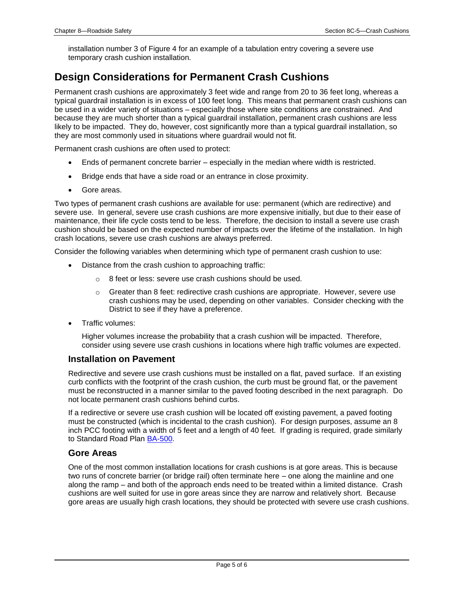installation number 3 of Figure 4 for an example of a tabulation entry covering a severe use temporary crash cushion installation.

## **Design Considerations for Permanent Crash Cushions**

Permanent crash cushions are approximately 3 feet wide and range from 20 to 36 feet long, whereas a typical guardrail installation is in excess of 100 feet long. This means that permanent crash cushions can be used in a wider variety of situations – especially those where site conditions are constrained. And because they are much shorter than a typical guardrail installation, permanent crash cushions are less likely to be impacted. They do, however, cost significantly more than a typical guardrail installation, so they are most commonly used in situations where guardrail would not fit.

Permanent crash cushions are often used to protect:

- Ends of permanent concrete barrier especially in the median where width is restricted.
- Bridge ends that have a side road or an entrance in close proximity.
- Gore areas.

Two types of permanent crash cushions are available for use: permanent (which are redirective) and severe use. In general, severe use crash cushions are more expensive initially, but due to their ease of maintenance, their life cycle costs tend to be less. Therefore, the decision to install a severe use crash cushion should be based on the expected number of impacts over the lifetime of the installation. In high crash locations, severe use crash cushions are always preferred.

Consider the following variables when determining which type of permanent crash cushion to use:

- Distance from the crash cushion to approaching traffic:
	- o 8 feet or less: severe use crash cushions should be used.
	- $\circ$  Greater than 8 feet: redirective crash cushions are appropriate. However, severe use crash cushions may be used, depending on other variables. Consider checking with the District to see if they have a preference.
- Traffic volumes:

Higher volumes increase the probability that a crash cushion will be impacted. Therefore, consider using severe use crash cushions in locations where high traffic volumes are expected.

#### **Installation on Pavement**

Redirective and severe use crash cushions must be installed on a flat, paved surface. If an existing curb conflicts with the footprint of the crash cushion, the curb must be ground flat, or the pavement must be reconstructed in a manner similar to the paved footing described in the next paragraph. Do not locate permanent crash cushions behind curbs.

If a redirective or severe use crash cushion will be located off existing pavement, a paved footing must be constructed (which is incidental to the crash cushion). For design purposes, assume an 8 inch PCC footing with a width of 5 feet and a length of 40 feet. If grading is required, grade similarly to Standard Road Plan [BA-500.](../SRP/IndividualStandards/ba500.pdf)

#### **Gore Areas**

One of the most common installation locations for crash cushions is at gore areas. This is because two runs of concrete barrier (or bridge rail) often terminate here – one along the mainline and one along the ramp – and both of the approach ends need to be treated within a limited distance. Crash cushions are well suited for use in gore areas since they are narrow and relatively short. Because gore areas are usually high crash locations, they should be protected with severe use crash cushions.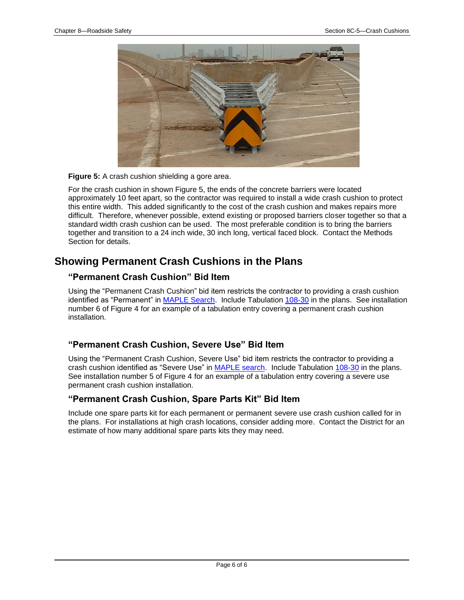

**Figure 5:** A crash cushion shielding a gore area.

For the crash cushion in shown Figure 5, the ends of the concrete barriers were located approximately 10 feet apart, so the contractor was required to install a wide crash cushion to protect this entire width. This added significantly to the cost of the crash cushion and makes repairs more difficult. Therefore, whenever possible, extend existing or proposed barriers closer together so that a standard width crash cushion can be used. The most preferable condition is to bring the barriers together and transition to a 24 inch wide, 30 inch long, vertical faced block. Contact the Methods Section for details.

## **Showing Permanent Crash Cushions in the Plans**

#### **"Permanent Crash Cushion" Bid Item**

Using the "Permanent Crash Cushion" bid item restricts the contractor to providing a crash cushion identified as "Permanent" in [MAPLE Search.](https://maple.iowadot.gov/Search.aspx) Include Tabulation [108-30](../tnt/PDFsandWebFiles/IndividualPDFs/0108-30.PDF) in the plans. See installation number 6 of Figure 4 for an example of a tabulation entry covering a permanent crash cushion installation.

#### **"Permanent Crash Cushion, Severe Use" Bid Item**

Using the "Permanent Crash Cushion, Severe Use" bid item restricts the contractor to providing a crash cushion identified as "Severe Use" in [MAPLE search.](https://maple.iowadot.gov/Search.aspx) Include Tabulation [108-30](../tnt/PDFsandWebFiles/IndividualPDFs/0108-30.PDF) in the plans. See installation number 5 of Figure 4 for an example of a tabulation entry covering a severe use permanent crash cushion installation.

#### **"Permanent Crash Cushion, Spare Parts Kit" Bid Item**

Include one spare parts kit for each permanent or permanent severe use crash cushion called for in the plans. For installations at high crash locations, consider adding more. Contact the District for an estimate of how many additional spare parts kits they may need.